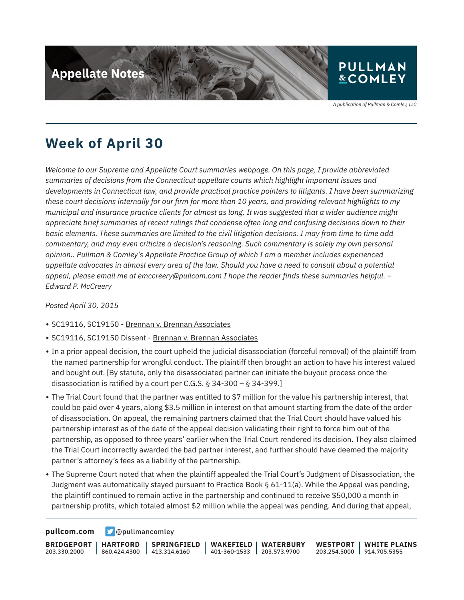

A publication of Pullman & Comley, LLC

### **Week of April 30**

*Welcome to our Supreme and Appellate Court summaries webpage. On this page, I provide abbreviated summaries of decisions from the Connecticut appellate courts which highlight important issues and developments in Connecticut law, and provide practical practice pointers to litigants. I have been summarizing these court decisions internally for our firm for more than 10 years, and providing relevant highlights to my municipal and insurance practice clients for almost as long. It was suggested that a wider audience might appreciate brief summaries of recent rulings that condense often long and confusing decisions down to their basic elements. These summaries are limited to the civil litigation decisions. I may from time to time add commentary, and may even criticize a decision's reasoning. Such commentary is solely my own personal opinion.. Pullman & Comley's Appellate Practice Group of which I am a member includes experienced appellate advocates in almost every area of the law. Should you have a need to consult about a potential appeal, please email me at emccreery@pullcom.com I hope the reader finds these summaries helpful. – Edward P. McCreery*

*Posted April 30, 2015*

- SC19116, SC19150 Brennan v. Brennan Associates
- SC19116, SC19150 Dissent Brennan v. Brennan Associates
- In a prior appeal decision, the court upheld the judicial disassociation (forceful removal) of the plaintiff from the named partnership for wrongful conduct. The plaintiff then brought an action to have his interest valued and bought out. [By statute, only the disassociated partner can initiate the buyout process once the disassociation is ratified by a court per C.G.S. § 34-300 – § 34-399.]
- The Trial Court found that the partner was entitled to \$7 million for the value his partnership interest, that could be paid over 4 years, along \$3.5 million in interest on that amount starting from the date of the order of disassociation. On appeal, the remaining partners claimed that the Trial Court should have valued his partnership interest as of the date of the appeal decision validating their right to force him out of the partnership, as opposed to three years' earlier when the Trial Court rendered its decision. They also claimed the Trial Court incorrectly awarded the bad partner interest, and further should have deemed the majority partner's attorney's fees as a liability of the partnership.
- The Supreme Court noted that when the plaintiff appealed the Trial Court's Judgment of Disassociation, the Judgment was automatically stayed pursuant to Practice Book § 61-11(a). While the Appeal was pending, the plaintiff continued to remain active in the partnership and continued to receive \$50,000 a month in partnership profits, which totaled almost \$2 million while the appeal was pending. And during that appeal,

**[pullcom.com](https://www.pullcom.com) g** [@pullmancomley](https://twitter.com/PullmanComley)

**BRIDGEPORT** 203.330.2000 **HARTFORD** 860.424.4300 413.314.6160 **SPRINGFIELD WAKEFIELD** 401-360-1533 203.573.9700 **WATERBURY WESTPORT** 203.254.5000 914.705.5355 **WHITE PLAINS**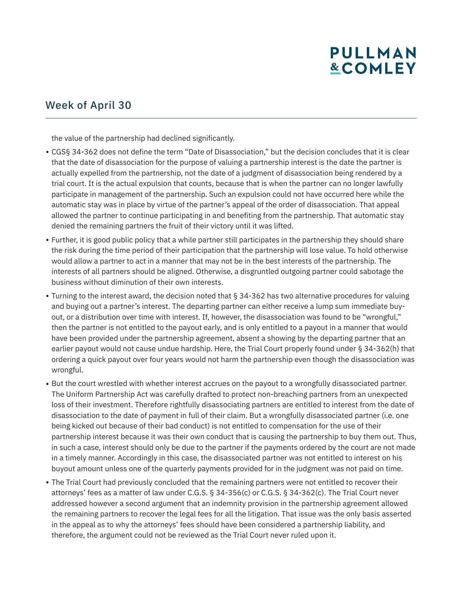## **PULLMAN &COMLEY**

#### Week of April 30

the value of the partnership had declined significantly.

- CGS§ 34-362 does not define the term "Date of Disassociation," but the decision concludes that it is clear that the date of disassociation for the purpose of valuing a partnership interest is the date the partner is actually expelled from the partnership, not the date of a judgment of disassociation being rendered by a trial court. It is the actual expulsion that counts, because that is when the partner can no longer lawfully participate in management of the partnership. Such an expulsion could not have occurred here while the automatic stay was in place by virtue of the partner's appeal of the order of disassociation. That appeal allowed the partner to continue participating in and benefiting from the partnership. That automatic stay denied the remaining partners the fruit of their victory until it was lifted.
- Further, it is good public policy that a while partner still participates in the partnership they should share the risk during the time period of their participation that the partnership will lose value. To hold otherwise would allow a partner to act in a manner that may not be in the best interests of the partnership. The interests of all partners should be aligned. Otherwise, a disgruntled outgoing partner could sabotage the business without diminution of their own interests.
- Turning to the interest award, the decision noted that § 34-362 has two alternative procedures for valuing and buying out a partner's interest. The departing partner can either receive a lump sum immediate buyout, or a distribution over time with interest. If, however, the disassociation was found to be "wrongful," then the partner is not entitled to the payout early, and is only entitled to a payout in a manner that would have been provided under the partnership agreement, absent a showing by the departing partner that an earlier payout would not cause undue hardship. Here, the Trial Court properly found under § 34-362(h) that ordering a quick payout over four years would not harm the partnership even though the disassociation was wrongful.
- But the court wrestled with whether interest accrues on the payout to a wrongfully disassociated partner. The Uniform Partnership Act was carefully drafted to protect non-breaching partners from an unexpected loss of their investment. Therefore rightfully disassociating partners are entitled to interest from the date of disassociation to the date of payment in full of their claim. But a wrongfully disassociated partner (i.e. one being kicked out because of their bad conduct) is not entitled to compensation for the use of their partnership interest because it was their own conduct that is causing the partnership to buy them out. Thus, in such a case, interest should only be due to the partner if the payments ordered by the court are not made in a timely manner. Accordingly in this case, the disassociated partner was not entitled to interest on his buyout amount unless one of the quarterly payments provided for in the judgment was not paid on time.
- The Trial Court had previously concluded that the remaining partners were not entitled to recover their attorneys' fees as a matter of law under C.G.S. § 34-356(c) or C.G.S. § 34-362(c). The Trial Court never addressed however a second argument that an indemnity provision in the partnership agreement allowed the remaining partners to recover the legal fees for all the litigation. That issue was the only basis asserted in the appeal as to why the attorneys' fees should have been considered a partnership liability, and therefore, the argument could not be reviewed as the Trial Court never ruled upon it.